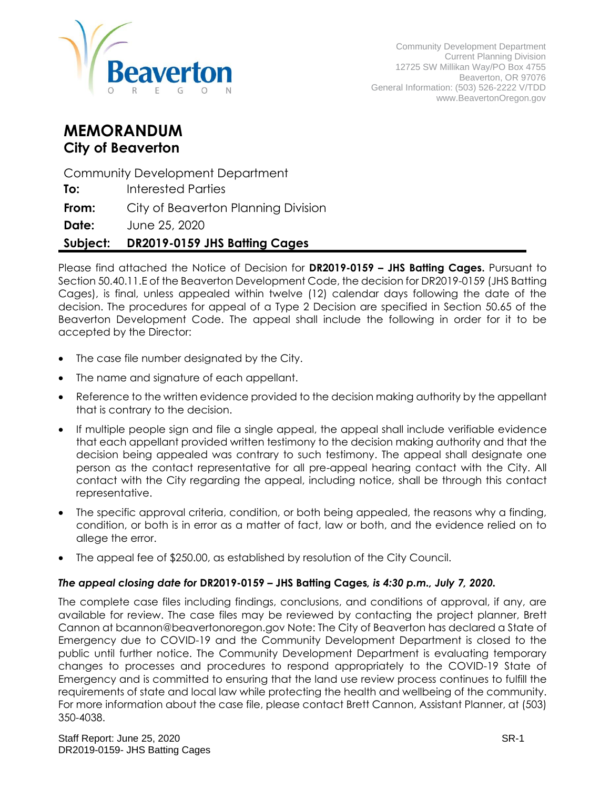

# **MEMORANDUM City of Beaverton**

Community Development Department

**To:** Interested Parties

**From:** City of Beaverton Planning Division

**Date:** June 25, 2020

# **Subject: DR2019-0159 JHS Batting Cages**

Please find attached the Notice of Decision for **DR2019-0159 – JHS Batting Cages.** Pursuant to Section 50.40.11.E of the Beaverton Development Code, the decision for DR2019-0159 (JHS Batting Cages), is final, unless appealed within twelve (12) calendar days following the date of the decision. The procedures for appeal of a Type 2 Decision are specified in Section 50.65 of the Beaverton Development Code. The appeal shall include the following in order for it to be accepted by the Director:

- The case file number designated by the City.
- The name and signature of each appellant.
- Reference to the written evidence provided to the decision making authority by the appellant that is contrary to the decision.
- If multiple people sign and file a single appeal, the appeal shall include verifiable evidence that each appellant provided written testimony to the decision making authority and that the decision being appealed was contrary to such testimony. The appeal shall designate one person as the contact representative for all pre-appeal hearing contact with the City. All contact with the City regarding the appeal, including notice, shall be through this contact representative.
- The specific approval criteria, condition, or both being appealed, the reasons why a finding, condition, or both is in error as a matter of fact, law or both, and the evidence relied on to allege the error.
- The appeal fee of \$250.00, as established by resolution of the City Council.

#### *The appeal closing date for* **DR2019-0159 – JHS Batting Cages***, is 4:30 p.m., July 7, 2020.*

The complete case files including findings, conclusions, and conditions of approval, if any, are available for review. The case files may be reviewed by contacting the project planner, Brett Cannon at bcannon@beavertonoregon.gov Note: The City of Beaverton has declared a State of Emergency due to COVID-19 and the Community Development Department is closed to the public until further notice. The Community Development Department is evaluating temporary changes to processes and procedures to respond appropriately to the COVID-19 State of Emergency and is committed to ensuring that the land use review process continues to fulfill the requirements of state and local law while protecting the health and wellbeing of the community. For more information about the case file, please contact Brett Cannon, Assistant Planner, at (503) 350-4038.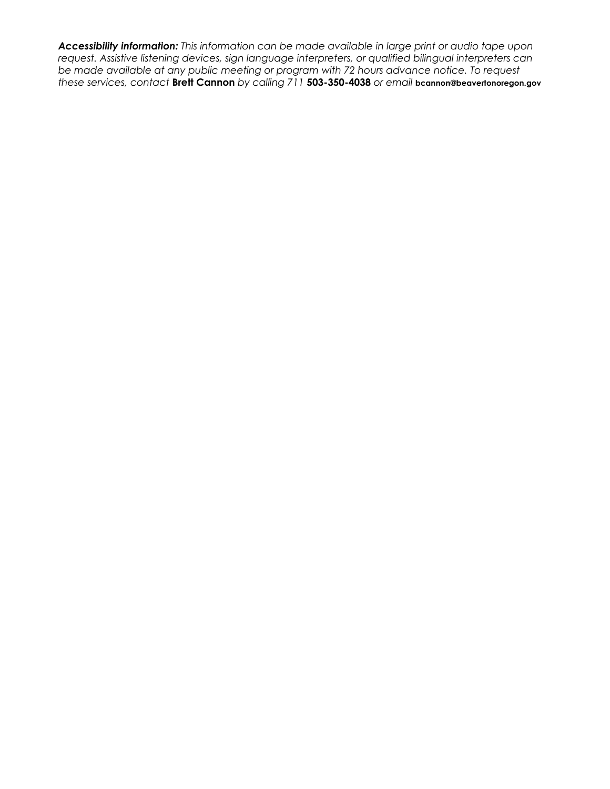*Accessibility information: This information can be made available in large print or audio tape upon request. Assistive listening devices, sign language interpreters, or qualified bilingual interpreters can be made available at any public meeting or program with 72 hours advance notice. To request these services, contact* **Brett Cannon** *by calling 711* **503-350-4038** *or email* **bcannon@beavertonoregon.gov**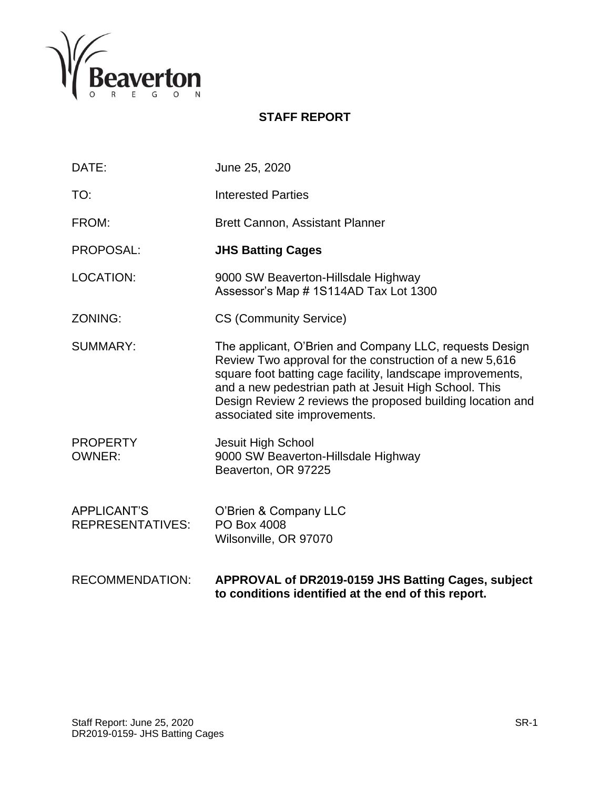

# **STAFF REPORT**

| DATE:                                         | June 25, 2020                                                                                                                                                                                                                                                                                                                            |
|-----------------------------------------------|------------------------------------------------------------------------------------------------------------------------------------------------------------------------------------------------------------------------------------------------------------------------------------------------------------------------------------------|
| TO:                                           | <b>Interested Parties</b>                                                                                                                                                                                                                                                                                                                |
| FROM:                                         | <b>Brett Cannon, Assistant Planner</b>                                                                                                                                                                                                                                                                                                   |
| PROPOSAL:                                     | <b>JHS Batting Cages</b>                                                                                                                                                                                                                                                                                                                 |
| <b>LOCATION:</b>                              | 9000 SW Beaverton-Hillsdale Highway<br>Assessor's Map #1S114AD Tax Lot 1300                                                                                                                                                                                                                                                              |
| ZONING:                                       | <b>CS (Community Service)</b>                                                                                                                                                                                                                                                                                                            |
| <b>SUMMARY:</b>                               | The applicant, O'Brien and Company LLC, requests Design<br>Review Two approval for the construction of a new 5,616<br>square foot batting cage facility, landscape improvements,<br>and a new pedestrian path at Jesuit High School. This<br>Design Review 2 reviews the proposed building location and<br>associated site improvements. |
| <b>PROPERTY</b><br><b>OWNER:</b>              | Jesuit High School<br>9000 SW Beaverton-Hillsdale Highway<br>Beaverton, OR 97225                                                                                                                                                                                                                                                         |
| <b>APPLICANT'S</b><br><b>REPRESENTATIVES:</b> | O'Brien & Company LLC<br>PO Box 4008<br>Wilsonville, OR 97070                                                                                                                                                                                                                                                                            |
| <b>RECOMMENDATION:</b>                        | APPROVAL of DR2019-0159 JHS Batting Cages, subject                                                                                                                                                                                                                                                                                       |

**to conditions identified at the end of this report.**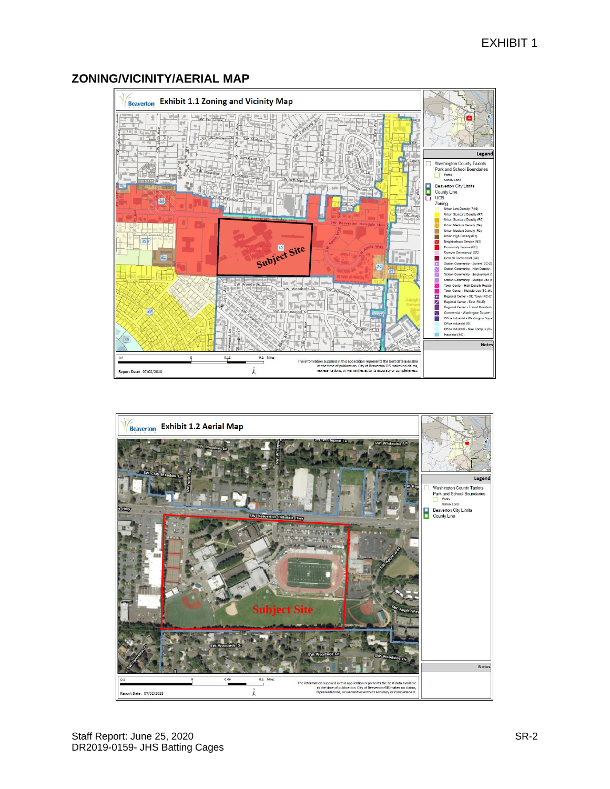# **ZONING/VICINITY/AERIAL MAP**



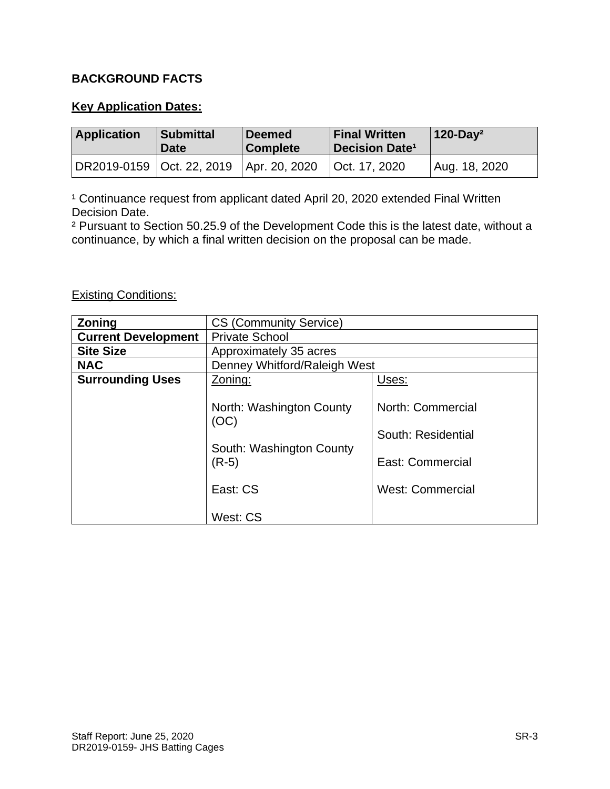# **BACKGROUND FACTS**

# **Key Application Dates:**

| <b>Application</b>          | <b>Submittal</b><br><b>Date</b> | <b>Deemed</b><br><b>Complete</b> | <b>Final Written</b><br><b>Decision Date<sup>1</sup></b> | $120-Day^2$   |
|-----------------------------|---------------------------------|----------------------------------|----------------------------------------------------------|---------------|
| DR2019-0159   Oct. 22, 2019 |                                 | Apr. 20, 2020                    | Oct. 17, 2020                                            | Aug. 18, 2020 |

<sup>1</sup> Continuance request from applicant dated April 20, 2020 extended Final Written Decision Date.

² Pursuant to Section 50.25.9 of the Development Code this is the latest date, without a continuance, by which a final written decision on the proposal can be made.

# Existing Conditions:

| <b>Zoning</b>              | <b>CS (Community Service)</b>                                                                   |                                                                                        |  |
|----------------------------|-------------------------------------------------------------------------------------------------|----------------------------------------------------------------------------------------|--|
| <b>Current Development</b> | <b>Private School</b>                                                                           |                                                                                        |  |
| <b>Site Size</b>           | Approximately 35 acres                                                                          |                                                                                        |  |
| <b>NAC</b>                 | Denney Whitford/Raleigh West                                                                    |                                                                                        |  |
| <b>Surrounding Uses</b>    | Zoning:                                                                                         | Uses:                                                                                  |  |
|                            | North: Washington County<br>(OC)<br>South: Washington County<br>$(R-5)$<br>East: CS<br>West: CS | North: Commercial<br>South: Residential<br>East: Commercial<br><b>West: Commercial</b> |  |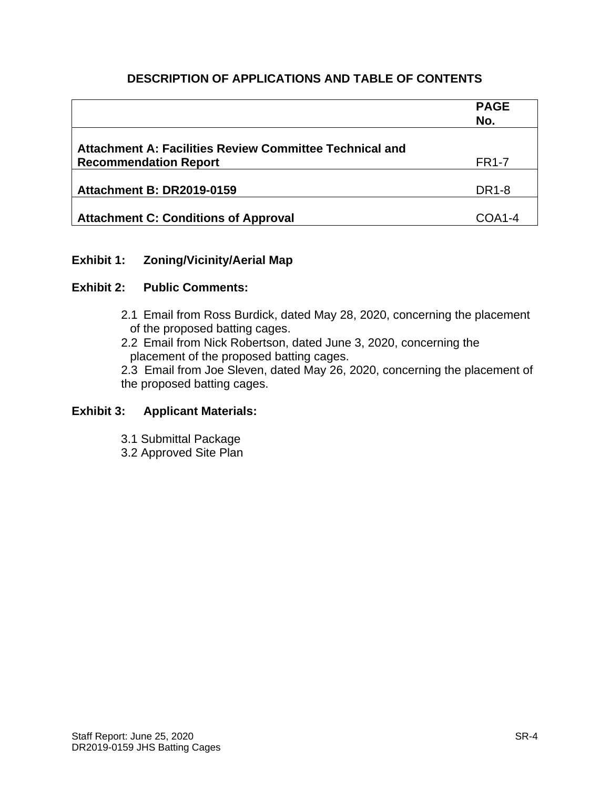# **DESCRIPTION OF APPLICATIONS AND TABLE OF CONTENTS**

|                                                         | <b>PAGE</b><br>No. |
|---------------------------------------------------------|--------------------|
| Attachment A: Facilities Review Committee Technical and |                    |
| <b>Recommendation Report</b>                            | <b>FR1-7</b>       |
|                                                         |                    |
| <b>Attachment B: DR2019-0159</b>                        | <b>DR1-8</b>       |
|                                                         |                    |
| <b>Attachment C: Conditions of Approval</b>             | COA1-4             |

# **Exhibit 1: Zoning/Vicinity/Aerial Map**

# **Exhibit 2: Public Comments:**

- 2.1 Email from Ross Burdick, dated May 28, 2020, concerning the placement of the proposed batting cages.
- 2.2 Email from Nick Robertson, dated June 3, 2020, concerning the placement of the proposed batting cages.
- 2.3 Email from Joe Sleven, dated May 26, 2020, concerning the placement of the proposed batting cages.

# **Exhibit 3: Applicant Materials:**

- 3.1 Submittal Package
- 3.2 Approved Site Plan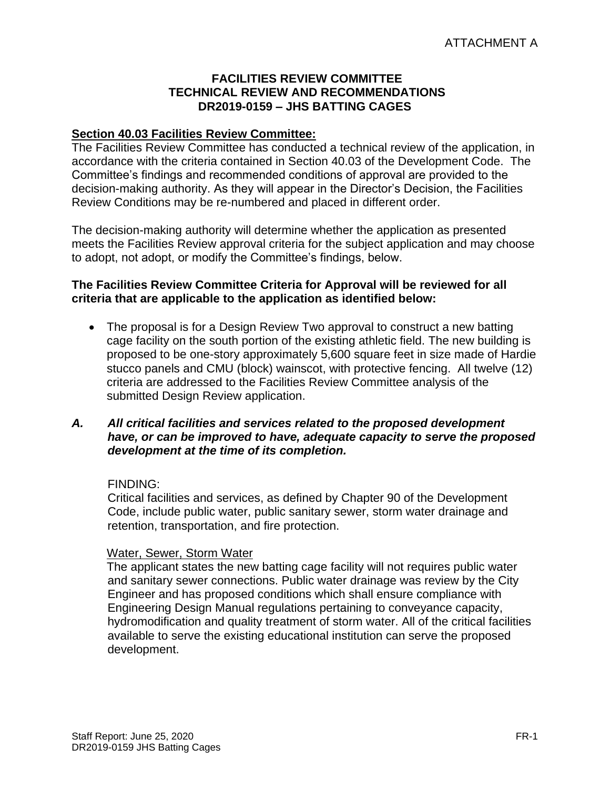#### **FACILITIES REVIEW COMMITTEE TECHNICAL REVIEW AND RECOMMENDATIONS DR2019-0159 – JHS BATTING CAGES**

# **Section 40.03 Facilities Review Committee:**

The Facilities Review Committee has conducted a technical review of the application, in accordance with the criteria contained in Section 40.03 of the Development Code. The Committee's findings and recommended conditions of approval are provided to the decision-making authority. As they will appear in the Director's Decision, the Facilities Review Conditions may be re-numbered and placed in different order.

The decision-making authority will determine whether the application as presented meets the Facilities Review approval criteria for the subject application and may choose to adopt, not adopt, or modify the Committee's findings, below.

#### **The Facilities Review Committee Criteria for Approval will be reviewed for all criteria that are applicable to the application as identified below:**

• The proposal is for a Design Review Two approval to construct a new batting cage facility on the south portion of the existing athletic field. The new building is proposed to be one-story approximately 5,600 square feet in size made of Hardie stucco panels and CMU (block) wainscot, with protective fencing. All twelve (12) criteria are addressed to the Facilities Review Committee analysis of the submitted Design Review application.

# *A. All critical facilities and services related to the proposed development have, or can be improved to have, adequate capacity to serve the proposed development at the time of its completion.*

#### FINDING:

Critical facilities and services, as defined by Chapter 90 of the Development Code, include public water, public sanitary sewer, storm water drainage and retention, transportation, and fire protection.

#### Water, Sewer, Storm Water

The applicant states the new batting cage facility will not requires public water and sanitary sewer connections. Public water drainage was review by the City Engineer and has proposed conditions which shall ensure compliance with Engineering Design Manual regulations pertaining to conveyance capacity, hydromodification and quality treatment of storm water. All of the critical facilities available to serve the existing educational institution can serve the proposed development.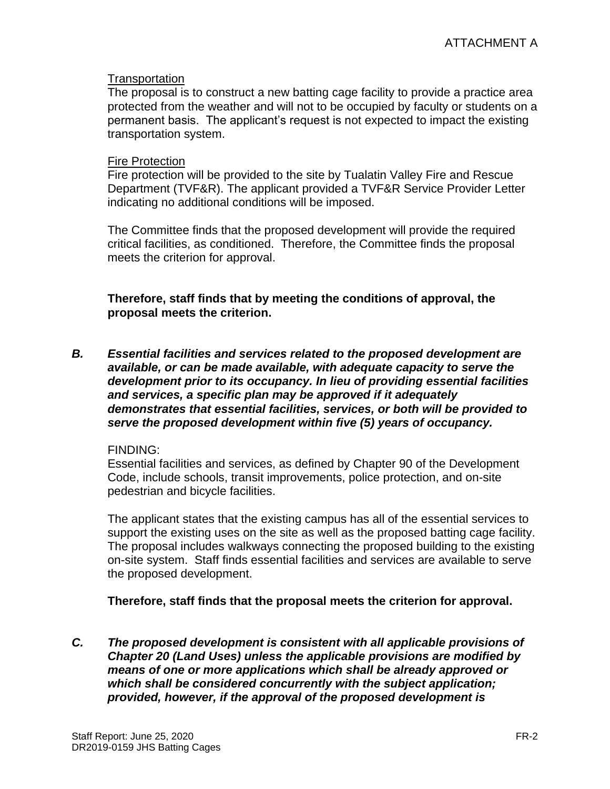#### **Transportation**

The proposal is to construct a new batting cage facility to provide a practice area protected from the weather and will not to be occupied by faculty or students on a permanent basis. The applicant's request is not expected to impact the existing transportation system.

#### Fire Protection

Fire protection will be provided to the site by Tualatin Valley Fire and Rescue Department (TVF&R). The applicant provided a TVF&R Service Provider Letter indicating no additional conditions will be imposed.

The Committee finds that the proposed development will provide the required critical facilities, as conditioned. Therefore, the Committee finds the proposal meets the criterion for approval.

**Therefore, staff finds that by meeting the conditions of approval, the proposal meets the criterion.** 

*B. Essential facilities and services related to the proposed development are available, or can be made available, with adequate capacity to serve the development prior to its occupancy. In lieu of providing essential facilities and services, a specific plan may be approved if it adequately demonstrates that essential facilities, services, or both will be provided to serve the proposed development within five (5) years of occupancy.*

#### FINDING:

Essential facilities and services, as defined by Chapter 90 of the Development Code, include schools, transit improvements, police protection, and on-site pedestrian and bicycle facilities.

The applicant states that the existing campus has all of the essential services to support the existing uses on the site as well as the proposed batting cage facility. The proposal includes walkways connecting the proposed building to the existing on-site system. Staff finds essential facilities and services are available to serve the proposed development.

#### **Therefore, staff finds that the proposal meets the criterion for approval.**

*C. The proposed development is consistent with all applicable provisions of Chapter 20 (Land Uses) unless the applicable provisions are modified by means of one or more applications which shall be already approved or which shall be considered concurrently with the subject application; provided, however, if the approval of the proposed development is*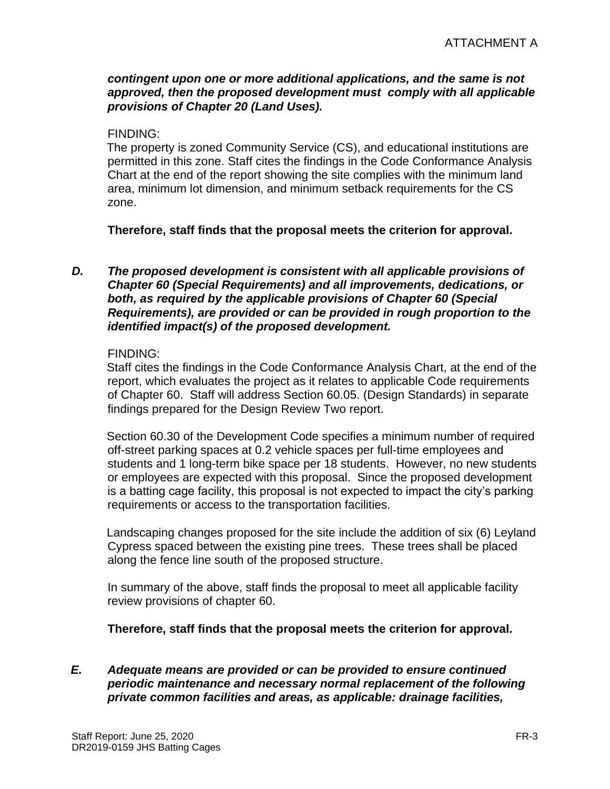#### *contingent upon one or more additional applications, and the same is not approved, then the proposed development must comply with all applicable provisions of Chapter 20 (Land Uses).*

#### FINDING:

The property is zoned Community Service (CS), and educational institutions are permitted in this zone. Staff cites the findings in the Code Conformance Analysis Chart at the end of the report showing the site complies with the minimum land area, minimum lot dimension, and minimum setback requirements for the CS zone.

**Therefore, staff finds that the proposal meets the criterion for approval.**

#### *D. The proposed development is consistent with all applicable provisions of Chapter 60 (Special Requirements) and all improvements, dedications, or both, as required by the applicable provisions of Chapter 60 (Special Requirements), are provided or can be provided in rough proportion to the identified impact(s) of the proposed development.*

#### FINDING:

Staff cites the findings in the Code Conformance Analysis Chart, at the end of the report, which evaluates the project as it relates to applicable Code requirements of Chapter 60. Staff will address Section 60.05. (Design Standards) in separate findings prepared for the Design Review Two report.

Section 60.30 of the Development Code specifies a minimum number of required off-street parking spaces at 0.2 vehicle spaces per full-time employees and students and 1 long-term bike space per 18 students. However, no new students or employees are expected with this proposal. Since the proposed development is a batting cage facility, this proposal is not expected to impact the city's parking requirements or access to the transportation facilities.

Landscaping changes proposed for the site include the addition of six (6) Leyland Cypress spaced between the existing pine trees. These trees shall be placed along the fence line south of the proposed structure.

In summary of the above, staff finds the proposal to meet all applicable facility review provisions of chapter 60.

**Therefore, staff finds that the proposal meets the criterion for approval.**

# *E. Adequate means are provided or can be provided to ensure continued periodic maintenance and necessary normal replacement of the following private common facilities and areas, as applicable: drainage facilities,*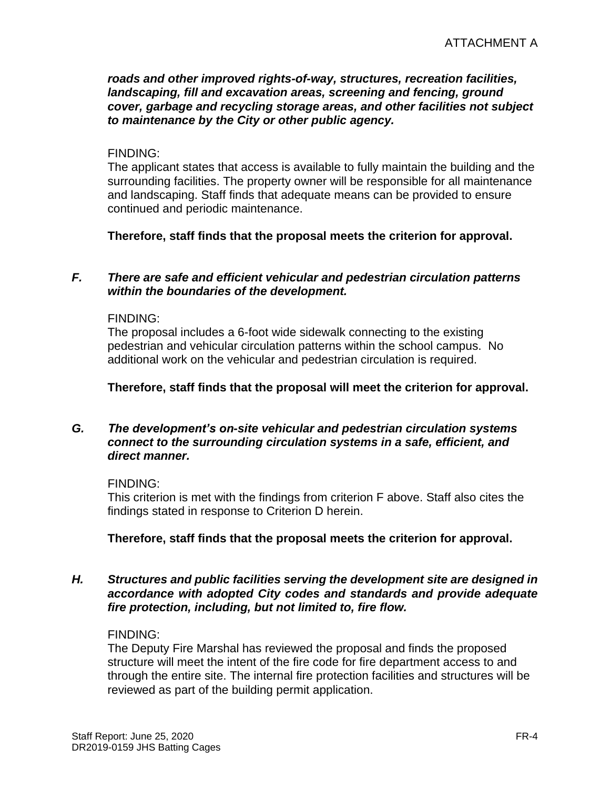*roads and other improved rights-of-way, structures, recreation facilities, landscaping, fill and excavation areas, screening and fencing, ground cover, garbage and recycling storage areas, and other facilities not subject to maintenance by the City or other public agency.*

#### FINDING:

The applicant states that access is available to fully maintain the building and the surrounding facilities. The property owner will be responsible for all maintenance and landscaping. Staff finds that adequate means can be provided to ensure continued and periodic maintenance.

**Therefore, staff finds that the proposal meets the criterion for approval.**

#### *F. There are safe and efficient vehicular and pedestrian circulation patterns within the boundaries of the development.*

#### FINDING:

The proposal includes a 6-foot wide sidewalk connecting to the existing pedestrian and vehicular circulation patterns within the school campus. No additional work on the vehicular and pedestrian circulation is required.

#### **Therefore, staff finds that the proposal will meet the criterion for approval.**

#### *G. The development's on-site vehicular and pedestrian circulation systems connect to the surrounding circulation systems in a safe, efficient, and direct manner.*

#### FINDING:

This criterion is met with the findings from criterion F above. Staff also cites the findings stated in response to Criterion D herein.

#### **Therefore, staff finds that the proposal meets the criterion for approval.**

#### *H. Structures and public facilities serving the development site are designed in accordance with adopted City codes and standards and provide adequate fire protection, including, but not limited to, fire flow.*

#### FINDING:

The Deputy Fire Marshal has reviewed the proposal and finds the proposed structure will meet the intent of the fire code for fire department access to and through the entire site. The internal fire protection facilities and structures will be reviewed as part of the building permit application.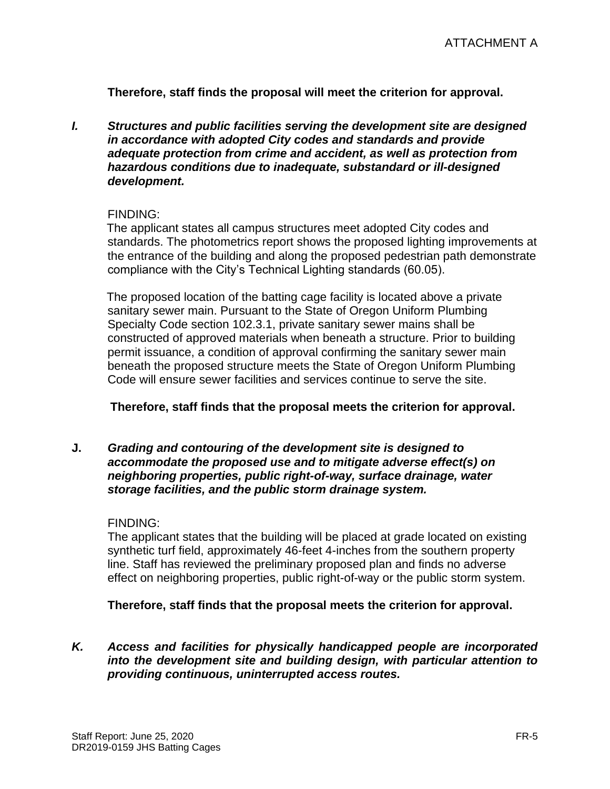**Therefore, staff finds the proposal will meet the criterion for approval.**

*I. Structures and public facilities serving the development site are designed in accordance with adopted City codes and standards and provide adequate protection from crime and accident, as well as protection from hazardous conditions due to inadequate, substandard or ill-designed development.*

#### FINDING:

The applicant states all campus structures meet adopted City codes and standards. The photometrics report shows the proposed lighting improvements at the entrance of the building and along the proposed pedestrian path demonstrate compliance with the City's Technical Lighting standards (60.05).

The proposed location of the batting cage facility is located above a private sanitary sewer main. Pursuant to the State of Oregon Uniform Plumbing Specialty Code section 102.3.1, private sanitary sewer mains shall be constructed of approved materials when beneath a structure. Prior to building permit issuance, a condition of approval confirming the sanitary sewer main beneath the proposed structure meets the State of Oregon Uniform Plumbing Code will ensure sewer facilities and services continue to serve the site.

#### **Therefore, staff finds that the proposal meets the criterion for approval.**

**J.** *Grading and contouring of the development site is designed to accommodate the proposed use and to mitigate adverse effect(s) on neighboring properties, public right-of-way, surface drainage, water storage facilities, and the public storm drainage system.*

#### FINDING:

The applicant states that the building will be placed at grade located on existing synthetic turf field, approximately 46-feet 4-inches from the southern property line. Staff has reviewed the preliminary proposed plan and finds no adverse effect on neighboring properties, public right-of-way or the public storm system.

#### **Therefore, staff finds that the proposal meets the criterion for approval.**

*K. Access and facilities for physically handicapped people are incorporated into the development site and building design, with particular attention to providing continuous, uninterrupted access routes.*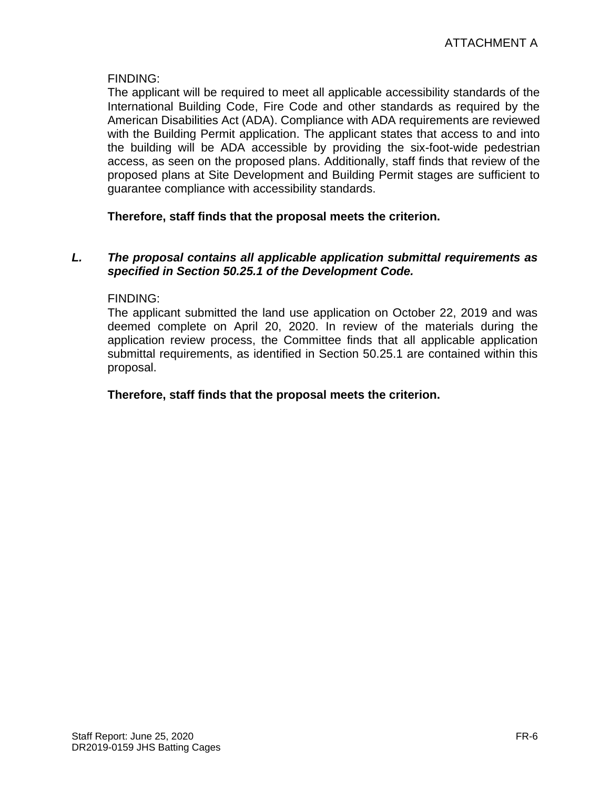# FINDING:

The applicant will be required to meet all applicable accessibility standards of the International Building Code, Fire Code and other standards as required by the American Disabilities Act (ADA). Compliance with ADA requirements are reviewed with the Building Permit application. The applicant states that access to and into the building will be ADA accessible by providing the six-foot-wide pedestrian access, as seen on the proposed plans. Additionally, staff finds that review of the proposed plans at Site Development and Building Permit stages are sufficient to guarantee compliance with accessibility standards.

# **Therefore, staff finds that the proposal meets the criterion.**

#### *L. The proposal contains all applicable application submittal requirements as specified in Section 50.25.1 of the Development Code.*

#### FINDING:

The applicant submitted the land use application on October 22, 2019 and was deemed complete on April 20, 2020. In review of the materials during the application review process, the Committee finds that all applicable application submittal requirements, as identified in Section 50.25.1 are contained within this proposal.

# **Therefore, staff finds that the proposal meets the criterion.**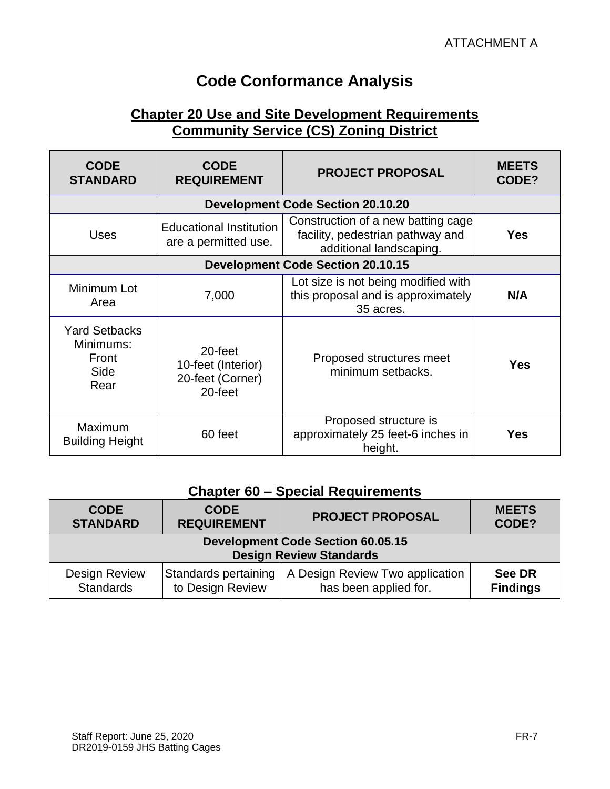# **Code Conformance Analysis**

# **Chapter 20 Use and Site Development Requirements Community Service (CS) Zoning District**

| <b>CODE</b><br><b>STANDARD</b>                             | <b>CODE</b><br><b>REQUIREMENT</b>                            | <b>PROJECT PROPOSAL</b>                                                                           | <b>MEETS</b><br>CODE? |
|------------------------------------------------------------|--------------------------------------------------------------|---------------------------------------------------------------------------------------------------|-----------------------|
|                                                            |                                                              | <b>Development Code Section 20.10.20</b>                                                          |                       |
| <b>Uses</b>                                                | <b>Educational Institution</b><br>are a permitted use.       | Construction of a new batting cage<br>facility, pedestrian pathway and<br>additional landscaping. | <b>Yes</b>            |
| <b>Development Code Section 20.10.15</b>                   |                                                              |                                                                                                   |                       |
| Minimum Lot<br>Area                                        | 7,000                                                        | Lot size is not being modified with<br>this proposal and is approximately<br>35 acres.            | N/A                   |
| <b>Yard Setbacks</b><br>Minimums:<br>Front<br>Side<br>Rear | 20-feet<br>10-feet (Interior)<br>20-feet (Corner)<br>20-feet | Proposed structures meet<br>minimum setbacks.                                                     | <b>Yes</b>            |
| Maximum<br><b>Building Height</b>                          | 60 feet                                                      | Proposed structure is<br>approximately 25 feet-6 inches in<br>height.                             | <b>Yes</b>            |

# **Chapter 60 – Special Requirements**

| <b>CODE</b><br><b>STANDARD</b>                                                                                                                                                       | <b>CODE</b><br><b>REQUIREMENT</b> | <b>PROJECT PROPOSAL</b> | <b>MEETS</b><br>CODE? |  |
|--------------------------------------------------------------------------------------------------------------------------------------------------------------------------------------|-----------------------------------|-------------------------|-----------------------|--|
| <b>Development Code Section 60.05.15</b><br><b>Design Review Standards</b>                                                                                                           |                                   |                         |                       |  |
| A Design Review Two application<br>Standards pertaining<br><b>Design Review</b><br><b>See DR</b><br><b>Standards</b><br>to Design Review<br>has been applied for.<br><b>Findings</b> |                                   |                         |                       |  |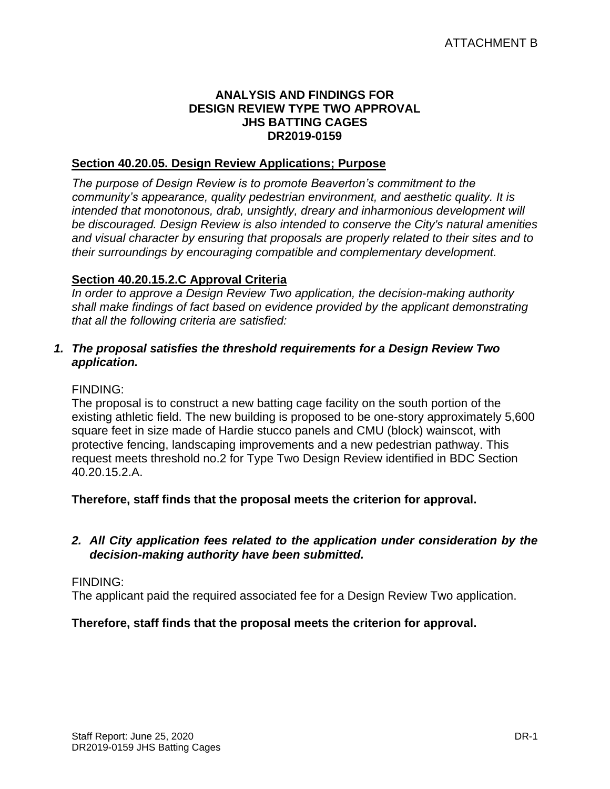#### **ANALYSIS AND FINDINGS FOR DESIGN REVIEW TYPE TWO APPROVAL JHS BATTING CAGES DR2019-0159**

# **Section 40.20.05. Design Review Applications; Purpose**

*The purpose of Design Review is to promote Beaverton's commitment to the community's appearance, quality pedestrian environment, and aesthetic quality. It is intended that monotonous, drab, unsightly, dreary and inharmonious development will be discouraged. Design Review is also intended to conserve the City's natural amenities and visual character by ensuring that proposals are properly related to their sites and to their surroundings by encouraging compatible and complementary development.*

# **Section 40.20.15.2.C Approval Criteria**

*In order to approve a Design Review Two application, the decision-making authority shall make findings of fact based on evidence provided by the applicant demonstrating that all the following criteria are satisfied:*

#### *1. The proposal satisfies the threshold requirements for a Design Review Two application.*

# FINDING:

The proposal is to construct a new batting cage facility on the south portion of the existing athletic field. The new building is proposed to be one-story approximately 5,600 square feet in size made of Hardie stucco panels and CMU (block) wainscot, with protective fencing, landscaping improvements and a new pedestrian pathway. This request meets threshold no.2 for Type Two Design Review identified in BDC Section 40.20.15.2.A.

**Therefore, staff finds that the proposal meets the criterion for approval.**

# *2. All City application fees related to the application under consideration by the decision-making authority have been submitted.*

#### FINDING:

The applicant paid the required associated fee for a Design Review Two application.

#### **Therefore, staff finds that the proposal meets the criterion for approval.**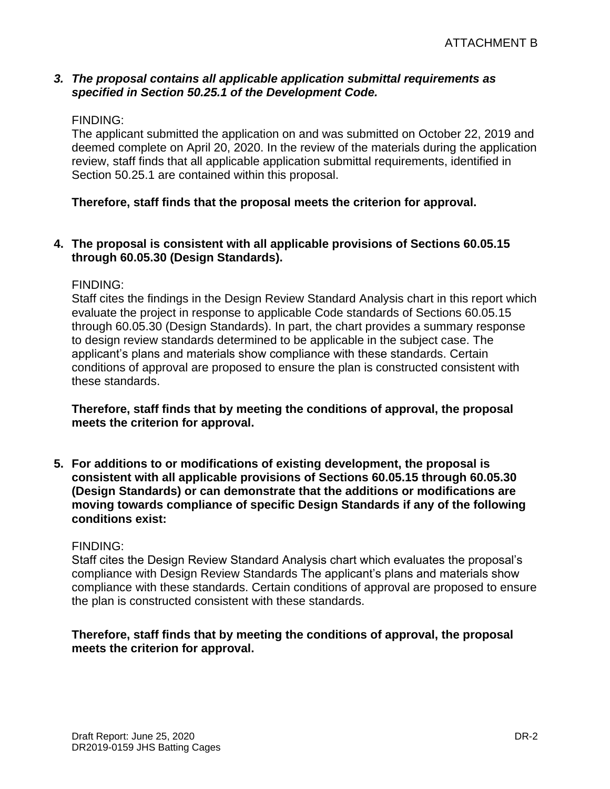#### *3. The proposal contains all applicable application submittal requirements as specified in Section 50.25.1 of the Development Code.*

#### FINDING:

The applicant submitted the application on and was submitted on October 22, 2019 and deemed complete on April 20, 2020. In the review of the materials during the application review, staff finds that all applicable application submittal requirements, identified in Section 50.25.1 are contained within this proposal.

#### **Therefore, staff finds that the proposal meets the criterion for approval.**

#### **4. The proposal is consistent with all applicable provisions of Sections 60.05.15 through 60.05.30 (Design Standards).**

#### FINDING:

Staff cites the findings in the Design Review Standard Analysis chart in this report which evaluate the project in response to applicable Code standards of Sections 60.05.15 through 60.05.30 (Design Standards). In part, the chart provides a summary response to design review standards determined to be applicable in the subject case. The applicant's plans and materials show compliance with these standards. Certain conditions of approval are proposed to ensure the plan is constructed consistent with these standards.

#### **Therefore, staff finds that by meeting the conditions of approval, the proposal meets the criterion for approval.**

**5. For additions to or modifications of existing development, the proposal is consistent with all applicable provisions of Sections 60.05.15 through 60.05.30 (Design Standards) or can demonstrate that the additions or modifications are moving towards compliance of specific Design Standards if any of the following conditions exist:**

#### FINDING:

Staff cites the Design Review Standard Analysis chart which evaluates the proposal's compliance with Design Review Standards The applicant's plans and materials show compliance with these standards. Certain conditions of approval are proposed to ensure the plan is constructed consistent with these standards.

#### **Therefore, staff finds that by meeting the conditions of approval, the proposal meets the criterion for approval.**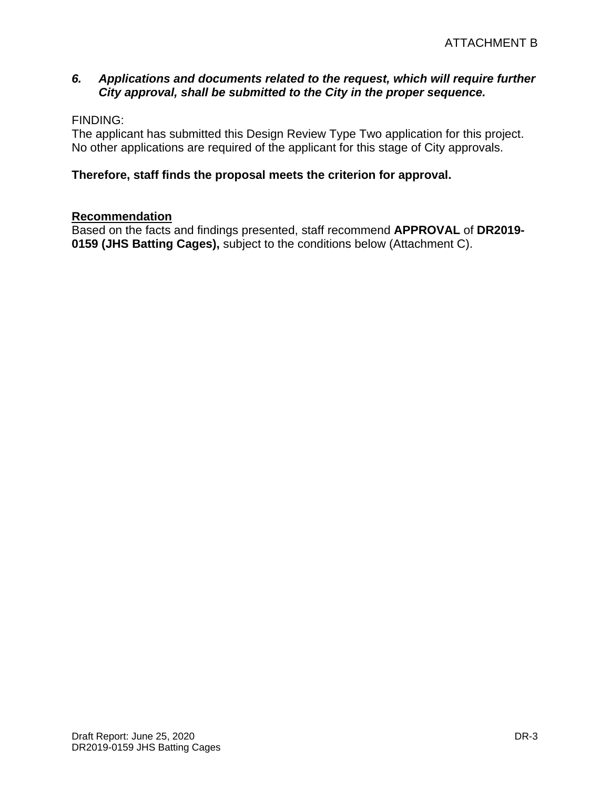# *6. Applications and documents related to the request, which will require further City approval, shall be submitted to the City in the proper sequence.*

# FINDING:

The applicant has submitted this Design Review Type Two application for this project. No other applications are required of the applicant for this stage of City approvals.

# **Therefore, staff finds the proposal meets the criterion for approval.**

#### **Recommendation**

Based on the facts and findings presented, staff recommend **APPROVAL** of **DR2019- 0159 (JHS Batting Cages),** subject to the conditions below (Attachment C).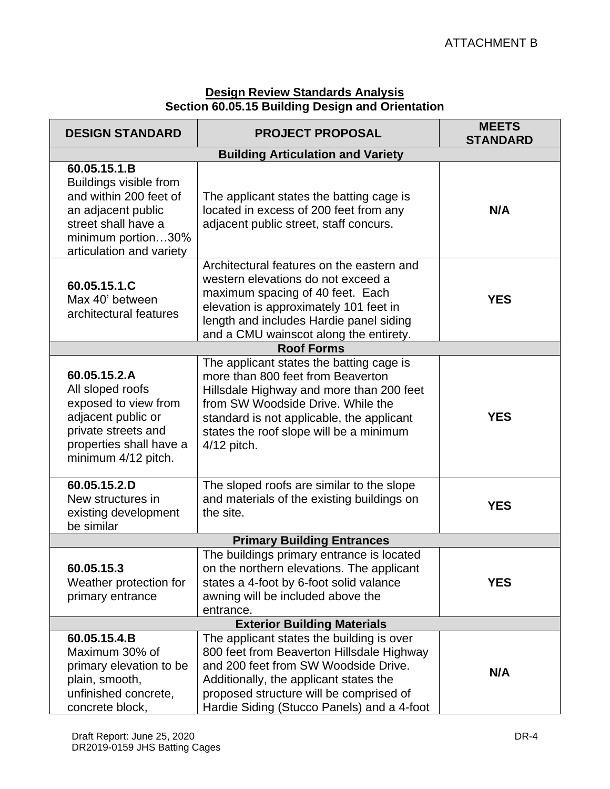# **Design Review Standards Analysis Section 60.05.15 Building Design and Orientation**

| <b>DESIGN STANDARD</b>                                                                                                                                          | <b>PROJECT PROPOSAL</b>                                                                                                                                                                                                                                               | <b>MEETS</b><br><b>STANDARD</b> |  |  |
|-----------------------------------------------------------------------------------------------------------------------------------------------------------------|-----------------------------------------------------------------------------------------------------------------------------------------------------------------------------------------------------------------------------------------------------------------------|---------------------------------|--|--|
| <b>Building Articulation and Variety</b>                                                                                                                        |                                                                                                                                                                                                                                                                       |                                 |  |  |
| 60.05.15.1.B<br>Buildings visible from<br>and within 200 feet of<br>an adjacent public<br>street shall have a<br>minimum portion30%<br>articulation and variety | The applicant states the batting cage is<br>located in excess of 200 feet from any<br>adjacent public street, staff concurs.                                                                                                                                          | N/A                             |  |  |
| 60.05.15.1.C<br>Max 40' between<br>architectural features                                                                                                       | Architectural features on the eastern and<br>western elevations do not exceed a<br>maximum spacing of 40 feet. Each<br>elevation is approximately 101 feet in<br>length and includes Hardie panel siding<br>and a CMU wainscot along the entirety.                    | <b>YES</b>                      |  |  |
|                                                                                                                                                                 | <b>Roof Forms</b>                                                                                                                                                                                                                                                     |                                 |  |  |
| 60.05.15.2.A<br>All sloped roofs<br>exposed to view from<br>adjacent public or<br>private streets and<br>properties shall have a<br>minimum 4/12 pitch.         | The applicant states the batting cage is<br>more than 800 feet from Beaverton<br>Hillsdale Highway and more than 200 feet<br>from SW Woodside Drive, While the<br>standard is not applicable, the applicant<br>states the roof slope will be a minimum<br>4/12 pitch. | <b>YES</b>                      |  |  |
| 60.05.15.2.D<br>New structures in<br>existing development<br>be similar                                                                                         | The sloped roofs are similar to the slope<br>and materials of the existing buildings on<br>the site.                                                                                                                                                                  | <b>YES</b>                      |  |  |
| <b>Primary Building Entrances</b>                                                                                                                               |                                                                                                                                                                                                                                                                       |                                 |  |  |
| 60.05.15.3<br>Weather protection for<br>primary entrance                                                                                                        | The buildings primary entrance is located<br>on the northern elevations. The applicant<br>states a 4-foot by 6-foot solid valance<br>awning will be included above the<br>entrance.                                                                                   | <b>YES</b>                      |  |  |
| <b>Exterior Building Materials</b>                                                                                                                              |                                                                                                                                                                                                                                                                       |                                 |  |  |
| 60.05.15.4.B<br>Maximum 30% of<br>primary elevation to be<br>plain, smooth,<br>unfinished concrete,<br>concrete block,                                          | The applicant states the building is over<br>800 feet from Beaverton Hillsdale Highway<br>and 200 feet from SW Woodside Drive.<br>Additionally, the applicant states the<br>proposed structure will be comprised of<br>Hardie Siding (Stucco Panels) and a 4-foot     | N/A                             |  |  |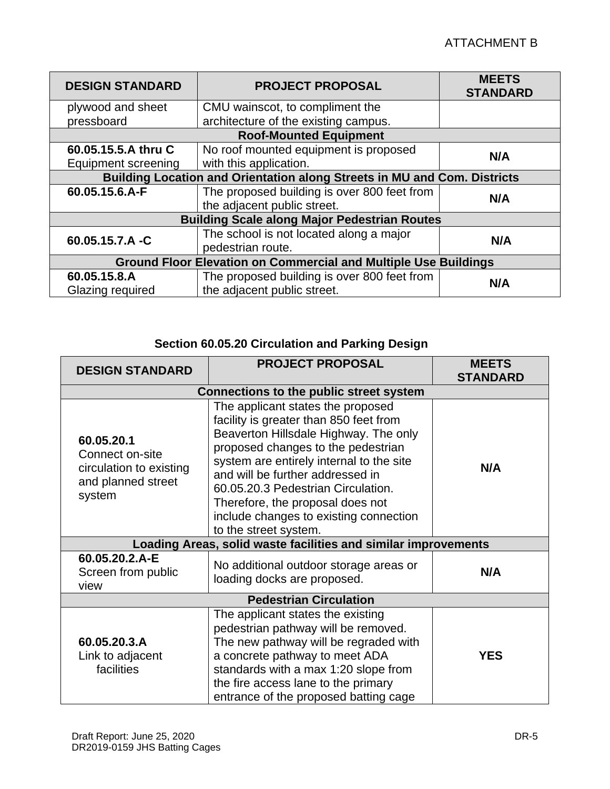| <b>DESIGN STANDARD</b>                                                   | <b>PROJECT PROPOSAL</b>                     | <b>MEETS</b><br><b>STANDARD</b> |
|--------------------------------------------------------------------------|---------------------------------------------|---------------------------------|
| plywood and sheet                                                        | CMU wainscot, to compliment the             |                                 |
| pressboard                                                               | architecture of the existing campus.        |                                 |
|                                                                          | <b>Roof-Mounted Equipment</b>               |                                 |
| 60.05.15.5.A thru C                                                      | No roof mounted equipment is proposed       | N/A                             |
| Equipment screening                                                      | with this application.                      |                                 |
| Building Location and Orientation along Streets in MU and Com. Districts |                                             |                                 |
| 60.05.15.6.A-F                                                           | The proposed building is over 800 feet from | N/A                             |
|                                                                          | the adjacent public street.                 |                                 |
| <b>Building Scale along Major Pedestrian Routes</b>                      |                                             |                                 |
| 60.05.15.7.A -C                                                          | The school is not located along a major     | N/A                             |
|                                                                          | pedestrian route.                           |                                 |
| <b>Ground Floor Elevation on Commercial and Multiple Use Buildings</b>   |                                             |                                 |
| 60.05.15.8.A                                                             | The proposed building is over 800 feet from | N/A                             |
| Glazing required                                                         | the adjacent public street.                 |                                 |

# **Section 60.05.20 Circulation and Parking Design**

| <b>DESIGN STANDARD</b>                                                                   | <b>PROJECT PROPOSAL</b>                                                                                                                                                                                                                                                                                                                                                                 | <b>MEETS</b><br><b>STANDARD</b> |  |
|------------------------------------------------------------------------------------------|-----------------------------------------------------------------------------------------------------------------------------------------------------------------------------------------------------------------------------------------------------------------------------------------------------------------------------------------------------------------------------------------|---------------------------------|--|
| Connections to the public street system                                                  |                                                                                                                                                                                                                                                                                                                                                                                         |                                 |  |
| 60.05.20.1<br>Connect on-site<br>circulation to existing<br>and planned street<br>system | The applicant states the proposed<br>facility is greater than 850 feet from<br>Beaverton Hillsdale Highway. The only<br>proposed changes to the pedestrian<br>system are entirely internal to the site<br>and will be further addressed in<br>60.05.20.3 Pedestrian Circulation.<br>Therefore, the proposal does not<br>include changes to existing connection<br>to the street system. | N/A                             |  |
| Loading Areas, solid waste facilities and similar improvements                           |                                                                                                                                                                                                                                                                                                                                                                                         |                                 |  |
| 60.05.20.2.A-E<br>Screen from public<br>view                                             | No additional outdoor storage areas or<br>loading docks are proposed.                                                                                                                                                                                                                                                                                                                   | N/A                             |  |
| <b>Pedestrian Circulation</b>                                                            |                                                                                                                                                                                                                                                                                                                                                                                         |                                 |  |
| 60.05.20.3.A<br>Link to adjacent<br>facilities                                           | The applicant states the existing<br>pedestrian pathway will be removed.<br>The new pathway will be regraded with<br>a concrete pathway to meet ADA<br>standards with a max 1:20 slope from<br>the fire access lane to the primary<br>entrance of the proposed batting cage                                                                                                             | <b>YES</b>                      |  |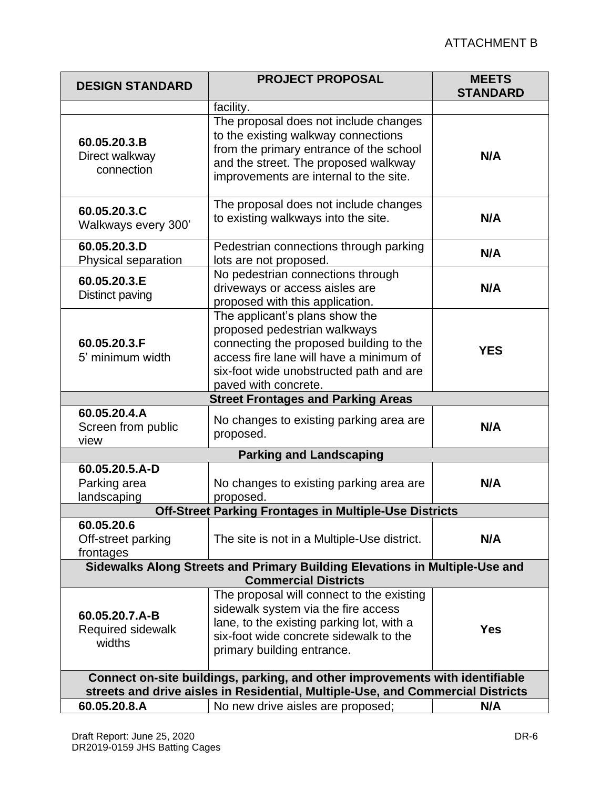| <b>DESIGN STANDARD</b>                                                                                                                                          | <b>PROJECT PROPOSAL</b>                                                                                                                                                                                                 | <b>MEETS</b><br><b>STANDARD</b> |  |
|-----------------------------------------------------------------------------------------------------------------------------------------------------------------|-------------------------------------------------------------------------------------------------------------------------------------------------------------------------------------------------------------------------|---------------------------------|--|
|                                                                                                                                                                 | facility.                                                                                                                                                                                                               |                                 |  |
| 60.05.20.3.B<br>Direct walkway<br>connection                                                                                                                    | The proposal does not include changes<br>to the existing walkway connections<br>from the primary entrance of the school<br>and the street. The proposed walkway<br>improvements are internal to the site.               | N/A                             |  |
| 60.05.20.3.C<br>Walkways every 300'                                                                                                                             | The proposal does not include changes<br>to existing walkways into the site.                                                                                                                                            | N/A                             |  |
| 60.05.20.3.D<br>Physical separation                                                                                                                             | Pedestrian connections through parking<br>lots are not proposed.                                                                                                                                                        | N/A                             |  |
| 60.05.20.3.E<br>Distinct paving                                                                                                                                 | No pedestrian connections through<br>driveways or access aisles are<br>proposed with this application.                                                                                                                  | N/A                             |  |
| 60.05.20.3.F<br>5' minimum width                                                                                                                                | The applicant's plans show the<br>proposed pedestrian walkways<br>connecting the proposed building to the<br>access fire lane will have a minimum of<br>six-foot wide unobstructed path and are<br>paved with concrete. | <b>YES</b>                      |  |
|                                                                                                                                                                 | <b>Street Frontages and Parking Areas</b>                                                                                                                                                                               |                                 |  |
| 60.05.20.4.A<br>Screen from public<br>view                                                                                                                      | No changes to existing parking area are<br>proposed.                                                                                                                                                                    | N/A                             |  |
|                                                                                                                                                                 | <b>Parking and Landscaping</b>                                                                                                                                                                                          |                                 |  |
| 60.05.20.5.A-D<br>Parking area<br>landscaping                                                                                                                   | No changes to existing parking area are<br>proposed.                                                                                                                                                                    | N/A                             |  |
|                                                                                                                                                                 | Off-Street Parking Frontages in Multiple-Use Districts                                                                                                                                                                  |                                 |  |
| 60.05.20.6<br>Off-street parking<br>frontages                                                                                                                   | The site is not in a Multiple-Use district.                                                                                                                                                                             | N/A                             |  |
| Sidewalks Along Streets and Primary Building Elevations in Multiple-Use and<br><b>Commercial Districts</b>                                                      |                                                                                                                                                                                                                         |                                 |  |
| 60.05.20.7.A-B<br>Required sidewalk<br>widths                                                                                                                   | The proposal will connect to the existing<br>sidewalk system via the fire access<br>lane, to the existing parking lot, with a<br>six-foot wide concrete sidewalk to the<br>primary building entrance.                   | <b>Yes</b>                      |  |
| Connect on-site buildings, parking, and other improvements with identifiable<br>streets and drive aisles in Residential, Multiple-Use, and Commercial Districts |                                                                                                                                                                                                                         |                                 |  |
| 60.05.20.8.A                                                                                                                                                    | No new drive aisles are proposed;                                                                                                                                                                                       | N/A                             |  |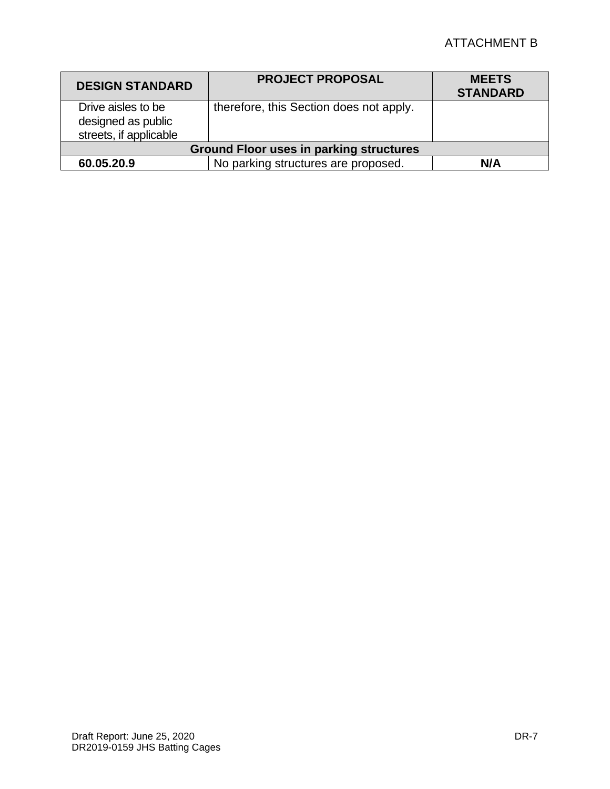# ATTACHMENT B

| <b>DESIGN STANDARD</b>                                             | <b>PROJECT PROPOSAL</b>                 | <b>MEETS</b><br><b>STANDARD</b> |
|--------------------------------------------------------------------|-----------------------------------------|---------------------------------|
| Drive aisles to be<br>designed as public<br>streets, if applicable | therefore, this Section does not apply. |                                 |
| <b>Ground Floor uses in parking structures</b>                     |                                         |                                 |
| 60.05.20.9                                                         | No parking structures are proposed.     | N/A                             |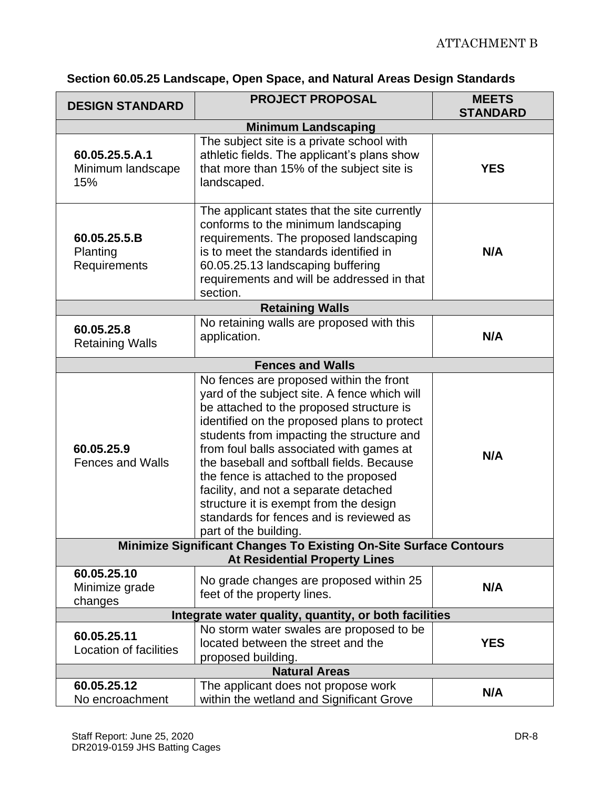| <b>DESIGN STANDARD</b>                                                                                           | <b>PROJECT PROPOSAL</b>                                                                                                                                                                                                                                                                                                                                                                                                                                                                                                  | <b>MEETS</b><br><b>STANDARD</b> |  |  |
|------------------------------------------------------------------------------------------------------------------|--------------------------------------------------------------------------------------------------------------------------------------------------------------------------------------------------------------------------------------------------------------------------------------------------------------------------------------------------------------------------------------------------------------------------------------------------------------------------------------------------------------------------|---------------------------------|--|--|
| <b>Minimum Landscaping</b>                                                                                       |                                                                                                                                                                                                                                                                                                                                                                                                                                                                                                                          |                                 |  |  |
| 60.05.25.5.A.1<br>Minimum landscape<br>15%                                                                       | The subject site is a private school with<br>athletic fields. The applicant's plans show<br>that more than 15% of the subject site is<br>landscaped.                                                                                                                                                                                                                                                                                                                                                                     | <b>YES</b>                      |  |  |
| 60.05.25.5.B<br>Planting<br>Requirements                                                                         | The applicant states that the site currently<br>conforms to the minimum landscaping<br>requirements. The proposed landscaping<br>is to meet the standards identified in<br>60.05.25.13 landscaping buffering<br>requirements and will be addressed in that<br>section.                                                                                                                                                                                                                                                   | N/A                             |  |  |
|                                                                                                                  | <b>Retaining Walls</b>                                                                                                                                                                                                                                                                                                                                                                                                                                                                                                   |                                 |  |  |
| 60.05.25.8<br><b>Retaining Walls</b>                                                                             | No retaining walls are proposed with this<br>application.                                                                                                                                                                                                                                                                                                                                                                                                                                                                | N/A                             |  |  |
|                                                                                                                  | <b>Fences and Walls</b>                                                                                                                                                                                                                                                                                                                                                                                                                                                                                                  |                                 |  |  |
| 60.05.25.9<br><b>Fences and Walls</b>                                                                            | No fences are proposed within the front<br>yard of the subject site. A fence which will<br>be attached to the proposed structure is<br>identified on the proposed plans to protect<br>students from impacting the structure and<br>from foul balls associated with games at<br>the baseball and softball fields. Because<br>the fence is attached to the proposed<br>facility, and not a separate detached<br>structure it is exempt from the design<br>standards for fences and is reviewed as<br>part of the building. | N/A                             |  |  |
| <b>Minimize Significant Changes To Existing On-Site Surface Contours</b><br><b>At Residential Property Lines</b> |                                                                                                                                                                                                                                                                                                                                                                                                                                                                                                                          |                                 |  |  |
| 60.05.25.10<br>Minimize grade<br>changes                                                                         | No grade changes are proposed within 25<br>feet of the property lines.                                                                                                                                                                                                                                                                                                                                                                                                                                                   | N/A                             |  |  |
| Integrate water quality, quantity, or both facilities                                                            |                                                                                                                                                                                                                                                                                                                                                                                                                                                                                                                          |                                 |  |  |
| 60.05.25.11<br>Location of facilities                                                                            | No storm water swales are proposed to be<br>located between the street and the<br>proposed building.                                                                                                                                                                                                                                                                                                                                                                                                                     | <b>YES</b>                      |  |  |
| <b>Natural Areas</b>                                                                                             |                                                                                                                                                                                                                                                                                                                                                                                                                                                                                                                          |                                 |  |  |
| 60.05.25.12<br>No encroachment                                                                                   | The applicant does not propose work<br>within the wetland and Significant Grove                                                                                                                                                                                                                                                                                                                                                                                                                                          | N/A                             |  |  |

# **Section 60.05.25 Landscape, Open Space, and Natural Areas Design Standards**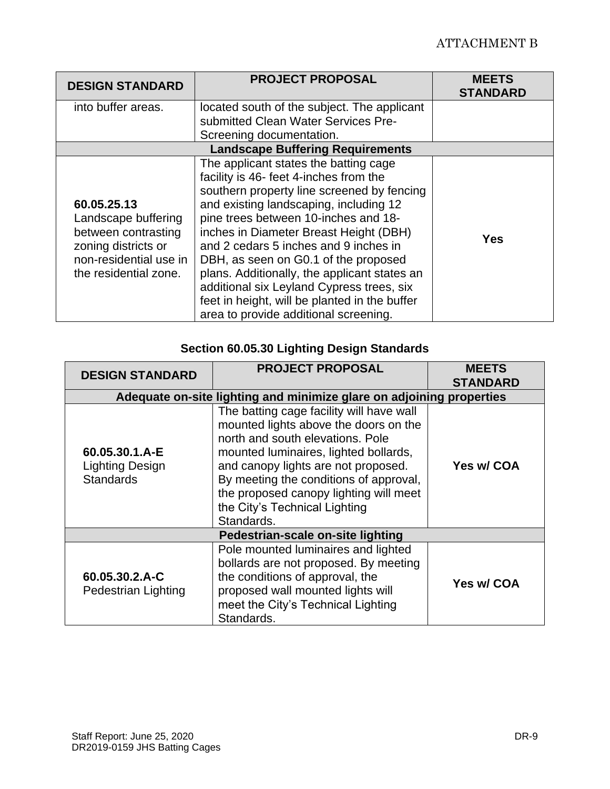| <b>DESIGN STANDARD</b>                                                                                                              | <b>PROJECT PROPOSAL</b>                                                                                                                                                                                                                                                                                                                                                                                                                                                                                                           | <b>MEETS</b><br><b>STANDARD</b> |  |
|-------------------------------------------------------------------------------------------------------------------------------------|-----------------------------------------------------------------------------------------------------------------------------------------------------------------------------------------------------------------------------------------------------------------------------------------------------------------------------------------------------------------------------------------------------------------------------------------------------------------------------------------------------------------------------------|---------------------------------|--|
| into buffer areas.                                                                                                                  | located south of the subject. The applicant<br>submitted Clean Water Services Pre-                                                                                                                                                                                                                                                                                                                                                                                                                                                |                                 |  |
|                                                                                                                                     | Screening documentation.                                                                                                                                                                                                                                                                                                                                                                                                                                                                                                          |                                 |  |
| <b>Landscape Buffering Requirements</b>                                                                                             |                                                                                                                                                                                                                                                                                                                                                                                                                                                                                                                                   |                                 |  |
| 60.05.25.13<br>Landscape buffering<br>between contrasting<br>zoning districts or<br>non-residential use in<br>the residential zone. | The applicant states the batting cage<br>facility is 46- feet 4-inches from the<br>southern property line screened by fencing<br>and existing landscaping, including 12<br>pine trees between 10-inches and 18-<br>inches in Diameter Breast Height (DBH)<br>and 2 cedars 5 inches and 9 inches in<br>DBH, as seen on G0.1 of the proposed<br>plans. Additionally, the applicant states an<br>additional six Leyland Cypress trees, six<br>feet in height, will be planted in the buffer<br>area to provide additional screening. | Yes                             |  |

# **Section 60.05.30 Lighting Design Standards**

| <b>DESIGN STANDARD</b>                                               | <b>PROJECT PROPOSAL</b>                                                                                                                                                                                                                                                                                                                  | <b>MEETS</b><br><b>STANDARD</b> |  |
|----------------------------------------------------------------------|------------------------------------------------------------------------------------------------------------------------------------------------------------------------------------------------------------------------------------------------------------------------------------------------------------------------------------------|---------------------------------|--|
| Adequate on-site lighting and minimize glare on adjoining properties |                                                                                                                                                                                                                                                                                                                                          |                                 |  |
| 60.05.30.1.A-E<br><b>Lighting Design</b><br><b>Standards</b>         | The batting cage facility will have wall<br>mounted lights above the doors on the<br>north and south elevations. Pole<br>mounted luminaires, lighted bollards,<br>and canopy lights are not proposed.<br>By meeting the conditions of approval,<br>the proposed canopy lighting will meet<br>the City's Technical Lighting<br>Standards. | Yes w/ COA                      |  |
| Pedestrian-scale on-site lighting                                    |                                                                                                                                                                                                                                                                                                                                          |                                 |  |
| 60.05.30.2.A-C<br><b>Pedestrian Lighting</b>                         | Pole mounted luminaires and lighted<br>bollards are not proposed. By meeting<br>the conditions of approval, the<br>proposed wall mounted lights will<br>meet the City's Technical Lighting<br>Standards.                                                                                                                                 | Yes w/ COA                      |  |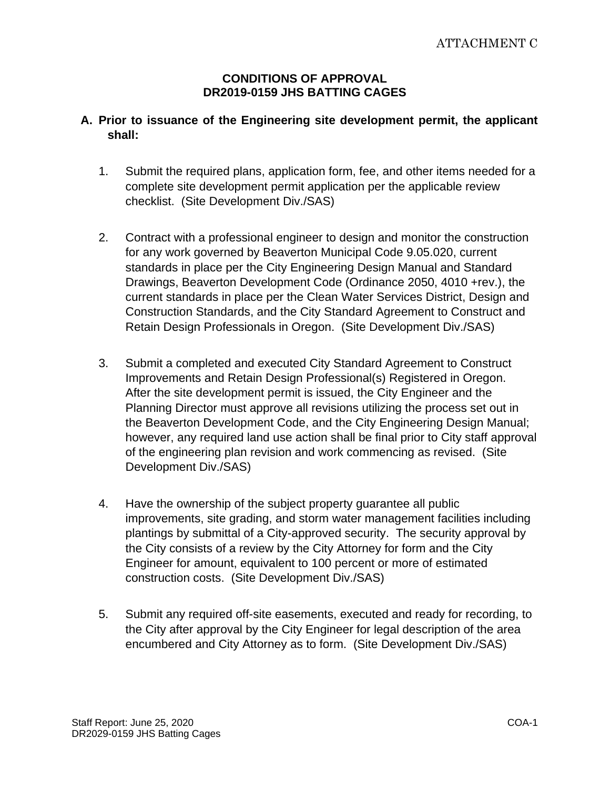#### **CONDITIONS OF APPROVAL DR2019-0159 JHS BATTING CAGES**

# **A. Prior to issuance of the Engineering site development permit, the applicant shall:**

- 1. Submit the required plans, application form, fee, and other items needed for a complete site development permit application per the applicable review checklist. (Site Development Div./SAS)
- 2. Contract with a professional engineer to design and monitor the construction for any work governed by Beaverton Municipal Code 9.05.020, current standards in place per the City Engineering Design Manual and Standard Drawings, Beaverton Development Code (Ordinance 2050, 4010 +rev.), the current standards in place per the Clean Water Services District, Design and Construction Standards, and the City Standard Agreement to Construct and Retain Design Professionals in Oregon. (Site Development Div./SAS)
- 3. Submit a completed and executed City Standard Agreement to Construct Improvements and Retain Design Professional(s) Registered in Oregon. After the site development permit is issued, the City Engineer and the Planning Director must approve all revisions utilizing the process set out in the Beaverton Development Code, and the City Engineering Design Manual; however, any required land use action shall be final prior to City staff approval of the engineering plan revision and work commencing as revised. (Site Development Div./SAS)
- 4. Have the ownership of the subject property guarantee all public improvements, site grading, and storm water management facilities including plantings by submittal of a City-approved security. The security approval by the City consists of a review by the City Attorney for form and the City Engineer for amount, equivalent to 100 percent or more of estimated construction costs. (Site Development Div./SAS)
- 5. Submit any required off-site easements, executed and ready for recording, to the City after approval by the City Engineer for legal description of the area encumbered and City Attorney as to form. (Site Development Div./SAS)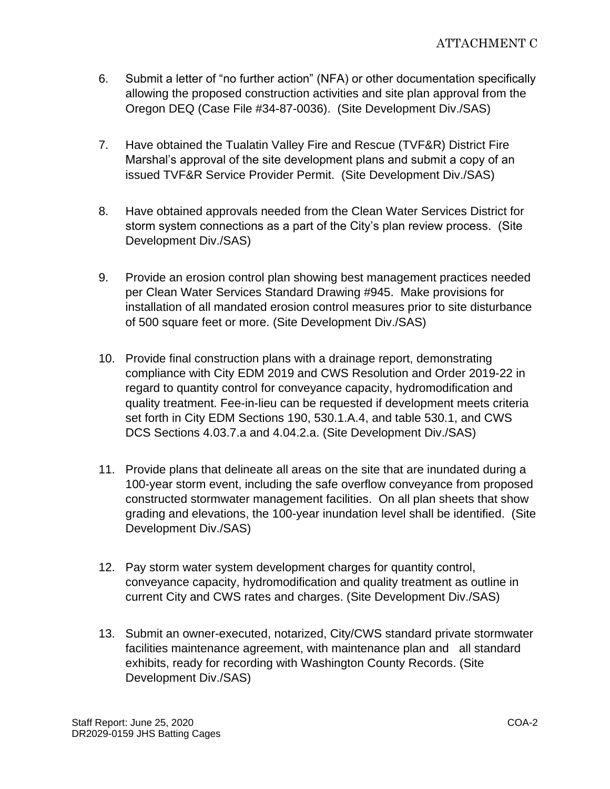- 6. Submit a letter of "no further action" (NFA) or other documentation specifically allowing the proposed construction activities and site plan approval from the Oregon DEQ (Case File #34-87-0036). (Site Development Div./SAS)
- 7. Have obtained the Tualatin Valley Fire and Rescue (TVF&R) District Fire Marshal's approval of the site development plans and submit a copy of an issued TVF&R Service Provider Permit. (Site Development Div./SAS)
- 8. Have obtained approvals needed from the Clean Water Services District for storm system connections as a part of the City's plan review process. (Site Development Div./SAS)
- 9. Provide an erosion control plan showing best management practices needed per Clean Water Services Standard Drawing #945. Make provisions for installation of all mandated erosion control measures prior to site disturbance of 500 square feet or more. (Site Development Div./SAS)
- 10. Provide final construction plans with a drainage report, demonstrating compliance with City EDM 2019 and CWS Resolution and Order 2019-22 in regard to quantity control for conveyance capacity, hydromodification and quality treatment. Fee-in-lieu can be requested if development meets criteria set forth in City EDM Sections 190, 530.1.A.4, and table 530.1, and CWS DCS Sections 4.03.7.a and 4.04.2.a. (Site Development Div./SAS)
- 11. Provide plans that delineate all areas on the site that are inundated during a 100-year storm event, including the safe overflow conveyance from proposed constructed stormwater management facilities. On all plan sheets that show grading and elevations, the 100-year inundation level shall be identified. (Site Development Div./SAS)
- 12. Pay storm water system development charges for quantity control, conveyance capacity, hydromodification and quality treatment as outline in current City and CWS rates and charges. (Site Development Div./SAS)
- 13. Submit an owner-executed, notarized, City/CWS standard private stormwater facilities maintenance agreement, with maintenance plan and all standard exhibits, ready for recording with Washington County Records. (Site Development Div./SAS)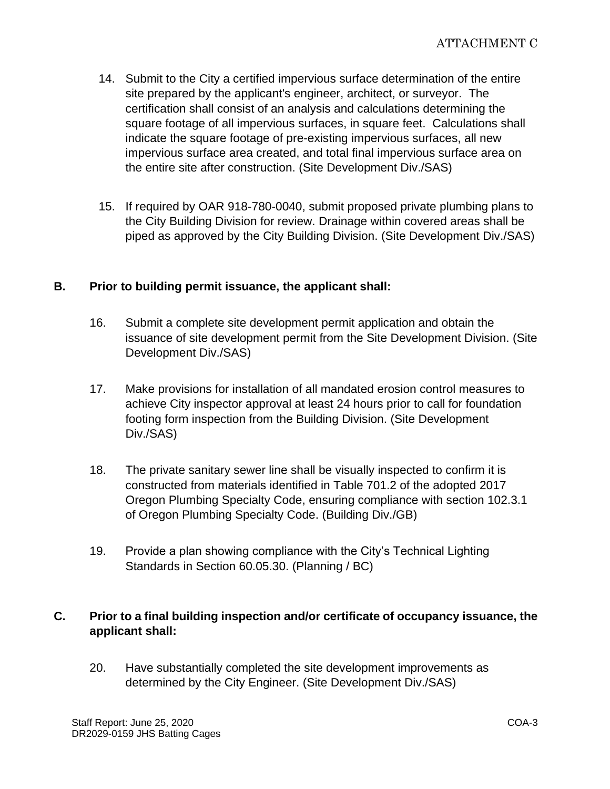- 14. Submit to the City a certified impervious surface determination of the entire site prepared by the applicant's engineer, architect, or surveyor. The certification shall consist of an analysis and calculations determining the square footage of all impervious surfaces, in square feet. Calculations shall indicate the square footage of pre-existing impervious surfaces, all new impervious surface area created, and total final impervious surface area on the entire site after construction. (Site Development Div./SAS)
- 15. If required by OAR 918-780-0040, submit proposed private plumbing plans to the City Building Division for review. Drainage within covered areas shall be piped as approved by the City Building Division. (Site Development Div./SAS)

# **B. Prior to building permit issuance, the applicant shall:**

- 16. Submit a complete site development permit application and obtain the issuance of site development permit from the Site Development Division. (Site Development Div./SAS)
- 17. Make provisions for installation of all mandated erosion control measures to achieve City inspector approval at least 24 hours prior to call for foundation footing form inspection from the Building Division. (Site Development Div./SAS)
- 18. The private sanitary sewer line shall be visually inspected to confirm it is constructed from materials identified in Table 701.2 of the adopted 2017 Oregon Plumbing Specialty Code, ensuring compliance with section 102.3.1 of Oregon Plumbing Specialty Code. (Building Div./GB)
- 19. Provide a plan showing compliance with the City's Technical Lighting Standards in Section 60.05.30. (Planning / BC)

# **C. Prior to a final building inspection and/or certificate of occupancy issuance, the applicant shall:**

20. Have substantially completed the site development improvements as determined by the City Engineer. (Site Development Div./SAS)